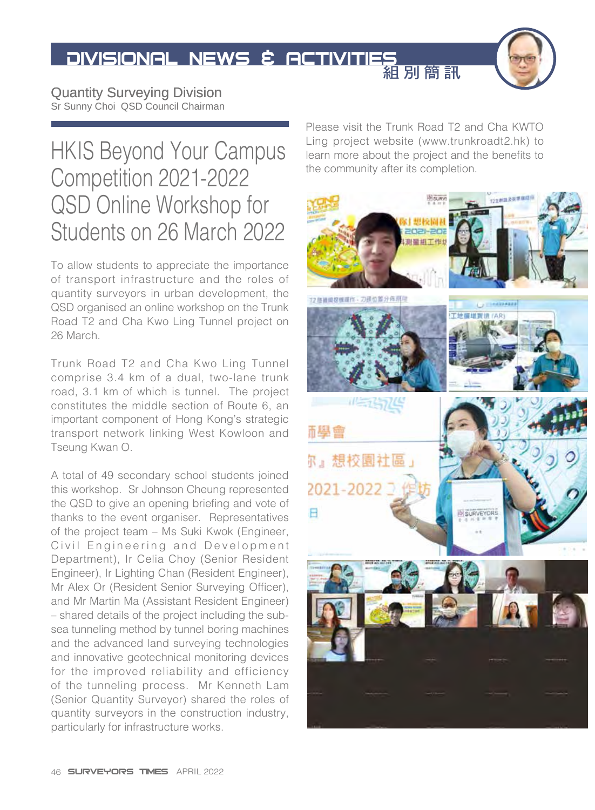

Quantity Surveying Division Sr Sunny Choi QSD Council Chairman

## HKIS Beyond Your Campus Competition 2021-2022 QSD Online Workshop for Students on 26 March 2022

To allow students to appreciate the importance of transport infrastructure and the roles of quantity surveyors in urban development, the QSD organised an online workshop on the Trunk Road T2 and Cha Kwo Ling Tunnel project on 26 March.

Trunk Road T2 and Cha Kwo Ling Tunnel comprise 3.4 km of a dual, two-lane trunk road, 3.1 km of which is tunnel. The project constitutes the middle section of Route 6, an important component of Hong Kong's strategic transport network linking West Kowloon and Tseung Kwan O.

A total of 49 secondary school students joined this workshop. Sr Johnson Cheung represented the QSD to give an opening briefing and vote of thanks to the event organiser. Representatives of the project team – Ms Suki Kwok (Engineer, Civil Engineering and Development Department), Ir Celia Choy (Senior Resident Engineer), Ir Lighting Chan (Resident Engineer), Mr Alex Or (Resident Senior Surveying Officer), and Mr Martin Ma (Assistant Resident Engineer) – shared details of the project including the subsea tunneling method by tunnel boring machines and the advanced land surveying technologies and innovative geotechnical monitoring devices for the improved reliability and efficiency of the tunneling process. Mr Kenneth Lam (Senior Quantity Surveyor) shared the roles of quantity surveyors in the construction industry, particularly for infrastructure works.

Please visit the Trunk Road T2 and Cha KWTO Ling project website (www.trunkroadt2.hk) to learn more about the project and the benefits to the community after its completion.

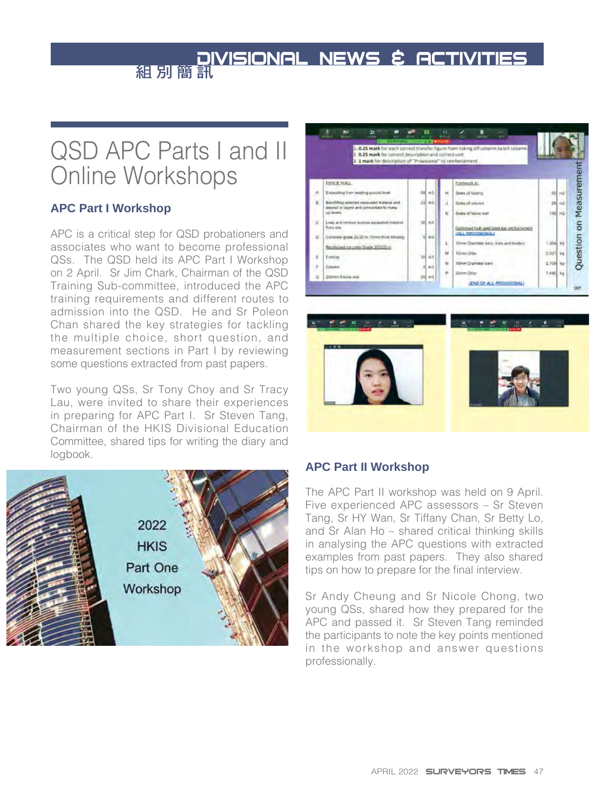## QSD APC Parts I and II Online Workshops

### **APC Part I Workshop**

APC is a critical step for QSD probationers and associates who want to become professional QSs. The QSD held its APC Part I Workshop on 2 April. Sr Jim Chark, Chairman of the QSD Training Sub-committee, introduced the APC training requirements and different routes to admission into the QSD. He and Sr Poleon Chan shared the key strategies for tackling the multiple choice, short question, and measurement sections in Part I by reviewing some questions extracted from past papers.

Two young QSs, Sr Tony Choy and Sr Tracy Lau, were invited to share their experiences in preparing for APC Part I. Sr Steven Tang, Chairman of the HKIS Divisional Education Committee, shared tips for writing the diary and logbook.





#### **APC Part II Workshop**

The APC Part II workshop was held on 9 April. Five experienced APC assessors – Sr Steven Tang, Sr HY Wan, Sr Tiffany Chan, Sr Betty Lo, and Sr Alan Ho – shared critical thinking skills in analysing the APC questions with extracted examples from past papers. They also shared tips on how to prepare for the final interview.

Sr Andy Cheung and Sr Nicole Chong, two young QSs, shared how they prepared for the APC and passed it. Sr Steven Tang reminded the participants to note the key points mentioned in the workshop and answer questions professionally.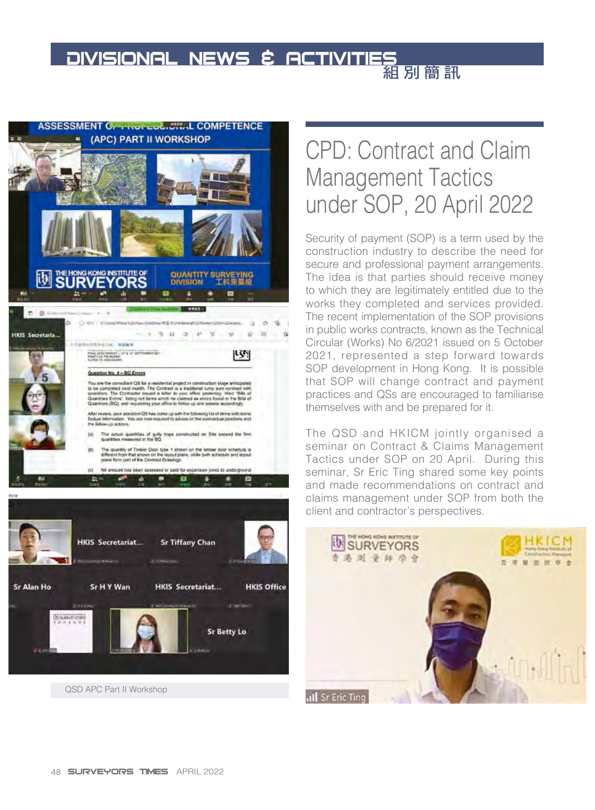

## **Sr Alan Ho** Sr H Y Wan **HKIS Secretariat... HKIS Office** SURVEYORS **Sr Betty Lo** QSD APC Part II Workshop

CPD: Contract and Claim Management Tactics under SOP, 20 April 2022

Security of payment (SOP) is a term used by the construction industry to describe the need for secure and professional payment arrangements. The idea is that parties should receive money to which they are legitimately entitled due to the works they completed and services provided. The recent implementation of the SOP provisions in public works contracts, known as the Technical Circular (Works) No 6/2021 issued on 5 October 2021, represented a step forward towards SOP development in Hong Kong. It is possible that SOP will change contract and payment practices and QSs are encouraged to familiarise themselves with and be prepared for it.

The QSD and HKICM jointly organised a seminar on Contract & Claims Management Tactics under SOP on 20 April. During this seminar, Sr Eric Ting shared some key points and made recommendations on contract and claims management under SOP from both the client and contractor's perspectives.